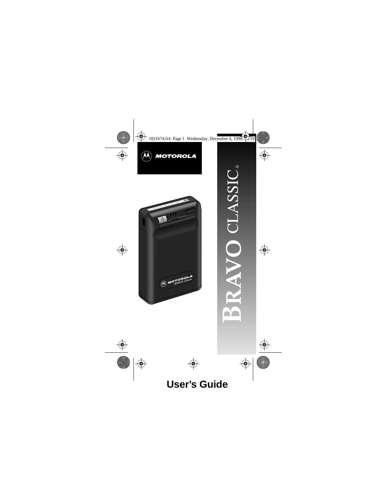



**CASSIC**  $\overline{ }$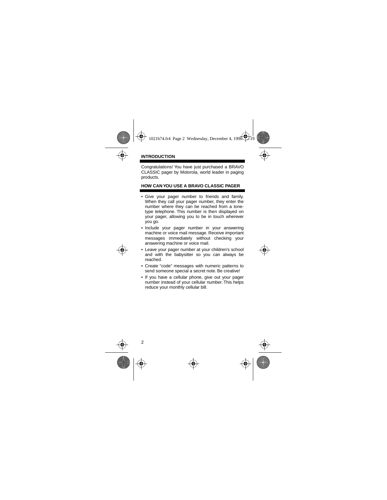Congratulations! You have just purchased a BRAVO CLASSIC pager by Motorola, world leader in paging products.

## **HOW CAN YOU USE A BRAVO CLASSIC PAGER**

- Give your pager number to friends and family. When they call your pager number, they enter the number where they can be reached from a tonetype telephone. This number is then displayed on your pager, allowing you to be in touch wherever you go.
- Include your pager number in your answering machine or voice mail message. Receive important messages immediately without checking your answering machine or voice mail.
- Leave your pager number at your children's school and with the babysitter so you can always be reached.
- Create "code" messages with numeric patterns to send someone special a secret note. Be creative!
- If you have a cellular phone, give out your pager number instead of your cellular number. This helps reduce your monthly cellular bill.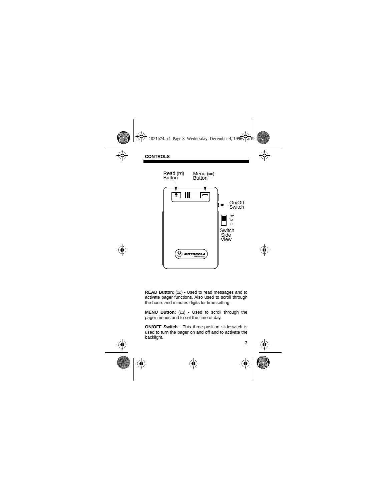

**READ Button:** ( $\pi$ ) - Used to read messages and to activate pager functions. Also used to scroll through the hours and minutes digits for time setting.

**MENU Button:** ( $\text{m}$ ) - Used to scroll through the pager menus and to set the time of day.

**ON/OFF Switch** - This three-position slideswitch is used to turn the pager on and off and to activate the backlight.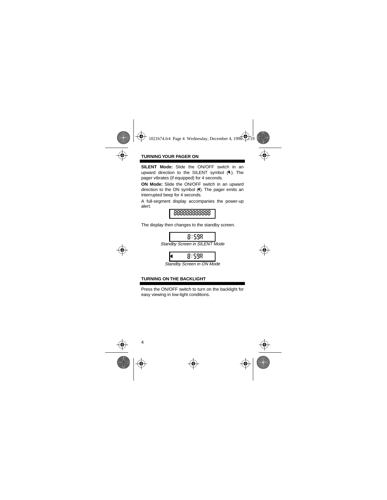# **TURNING YOUR PAGER ON**

**SILENT Mode:** Slide the ON/OFF switch in an upward direction to the SILENT symbol  $(\lambda)$ . The pager vibrates (if equipped) for 4 seconds.

**ON Mode:** Slide the ON/OFF switch in an upward direction to the ON symbol  $(4)$ . The pager emits an interrupted beep for 4 seconds.

A full-segment display accompanies the power-up alert.



The display then changes to the standby screen.

8:59a

Standby Screen in SILENT Mode



Standby Screen in ON Mode

## **TURNING ON THE BACKLIGHT**

Press the ON/OFF switch to turn on the backlight for easy viewing in low-light conditions.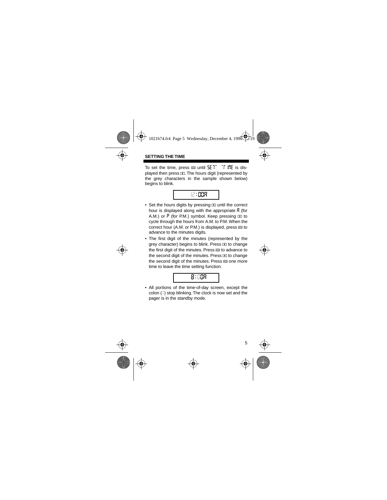## **SETTING THE TIME**

To set the time, press  $\equiv$  until  $5E$ <sup>T</sup> Trime is displayed then press  $\mathbb{E}$ . The hours digit (represented by the grey characters in the sample shown below) begins to blink.

$$
\mathbb{C}:\mathbb{S}\mathbb{S}\mathbb{R}
$$

- Set the hours digits by pressing  $\text{I}$  until the correct hour is displayed along with the appropriate  $\beta$  (for A.M.) or  $P$  (for P.M.) symbol. Keep pressing  $\Box$  to cycle through the hours from A.M. to P.M. When the correct hour (A.M. or P.M.) is displayed, press  $\equiv$  to advance to the minutes digits.
- The first digit of the minutes (represented by the grey character) begins to blink. Press **E** to change the first digit of the minutes. Press  $\equiv$  to advance to the second digit of the minutes. Press  $\mathbf{\overline{m}}$  to change the second digit of the minutes. Press  $\equiv$  one more time to leave the time setting function.



• All portions of the time-of-day screen, except the  $color(i)$  stop blinking. The clock is now set and the pager is in the standby mode.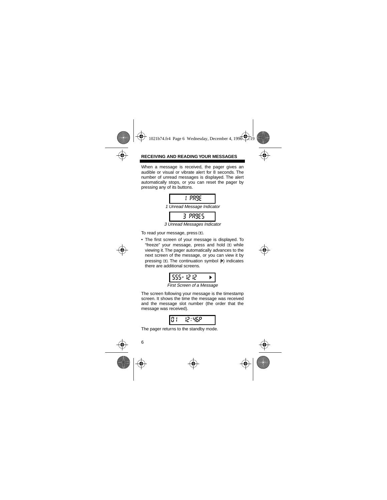# **RECEIVING AND READING YOUR MESSAGES**

When a message is received, the pager gives an audible or visual or vibrate alert for 8 seconds. The number of unread messages is displayed. The alert automatically stops, or you can reset the pager by pressing any of its buttons.



3 Unread Messages Indicator

To read your message, press E.

• The first screen of your message is displayed. To "freeze" your message, press and hold  $\Phi$  while viewing it. The pager automatically advances to the next screen of the message, or you can view it by pressing  $\text{I}$ . The continuation symbol  $(\blacktriangleright)$  indicates there are additional screens.

$$
\boxed{555 \cdot 1212 \rightarrow}
$$

First Screen of a Message

The screen following your message is the timestamp screen. It shows the time the message was received and the message slot number (the order that the message was received).

$$
0\longleftarrow 12:95P
$$

The pager returns to the standby mode.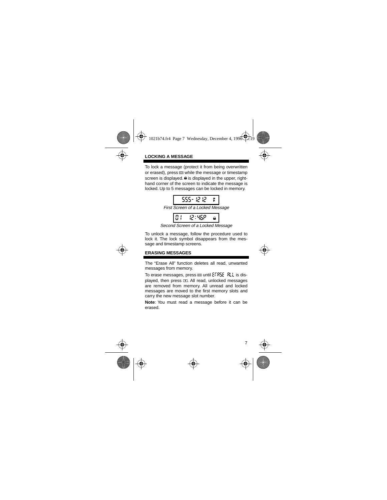# **LOCKING A MESSAGE**

To lock a message (protect it from being overwritten or erased), press  $\equiv$  while the message or timestamp screen is displayed.  $\hat{a}$  is displayed in the upper, righthand corner of the screen to indicate the message is locked. Up to 5 messages can be locked in memory.

$$
-555 - 12 \cdot 12 = 8
$$

First Screen of a Locked Message

$$
\boxed{0.1-12:95P-a}
$$

Second Screen of a Locked Message

To unlock a message, follow the procedure used to lock it. The lock symbol disappears from the message and timestamp screens.

#### **ERASING MESSAGES**

The "Erase All" function deletes all read, unwanted messages from memory.

To erase messages, press  $\equiv$  until  $\epsilon$  FRSE RLL is displayed, then press  $\text{I}$ . All read, unlocked messages are removed from memory. All unread and locked messages are moved to the first memory slots and carry the new message slot number.

**Note**: You must read a message before it can be erased.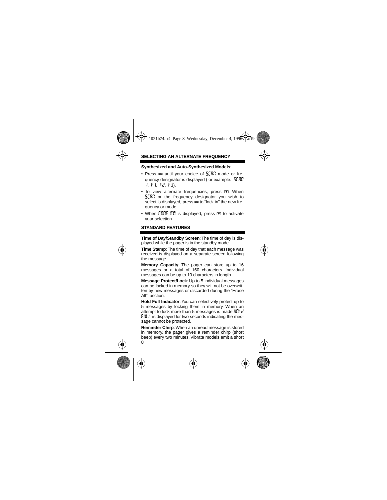#### **Synthesized and Auto-Synthesized Models**:

- Press  $\Box$  until your choice of  $5.737$  mode or frequency designator is displayed (for example:  $5.787$ 1, f1, f2, f3).
- To view alternate frequencies, press **The When SCRP** or the frequency designator you wish to select is displayed, press  $\equiv$  to "lock in" the new frequency or mode.
- When  $\text{CDF}$  if  $\text{F}$  is displayed, press  $\text{F}$  to activate your selection.

## **STANDARD FEATURES**

**Time of Day/Standby Screen**: The time of day is displayed while the pager is in the standby mode.

**Time Stamp**: The time of day that each message was received is displayed on a separate screen following the message.

**Memory Capacity**: The pager can store up to 16 messages or a total of 160 characters. Individual messages can be up to 10 characters in length.

**Message Protect/Lock**: Up to 5 individual messages can be locked in memory so they will not be overwritten by new messages or discarded during the "Erase All" function.

**Hold Full Indicator**: You can selectively protect up to 5 messages by locking them in memory. When an attempt to lock more than 5 messages is made Hull d **FULL** is displayed for two seconds indicating the message cannot be protected.

8 **Reminder Chirp**: When an unread message is stored in memory, the pager gives a reminder chirp (short beep) every two minutes. Vibrate models emit a short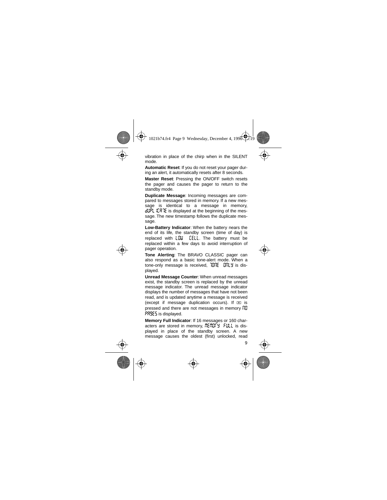vibration in place of the chirp when in the SILENT mode.

**Automatic Reset**: If you do not reset your pager during an alert, it automatically resets after 8 seconds.

**Master Reset**: Pressing the ON/OFF switch resets the pager and causes the pager to return to the standby mode.

**Duplicate Message**: Incoming messages are compared to messages stored in memory. If a new message is identical to a message in memory, dupl. ILR IE is displayed at the beginning of the message. The new timestamp follows the duplicate message.

**Low-Battery Indicator**: When the battery nears the end of its life, the standby screen (time of day) is replaced with  $L \mathbb{Z}$   $\mathbb{Z}$   $\mathbb{Z}$  . The battery must be replaced within a few days to avoid interruption of pager operation.

**Tone Alerting**: The BRAVO CLASSIC pager can also respond as a basic tone-alert mode. When a tone-only message is received,  $707E$   $07L$  is displayed.

**Unread Message Counter**: When unread messages exist, the standby screen is replaced by the unread message indicator. The unread message indicator displays the number of messages that have not been read, and is updated anytime a message is received (except if message duplication occurs). If  $\overline{R}$  is pressed and there are not messages in memory  $n\pi$ pages is displayed.

**Memory Full Indicator**: If 16 messages or 160 characters are stored in memory,  $\frac{m}{2}$  $\frac{m}{3}$   $\frac{m}{3}$   $\frac{m}{4}$  is displayed in place of the standby screen. A new message causes the oldest (first) unlocked, read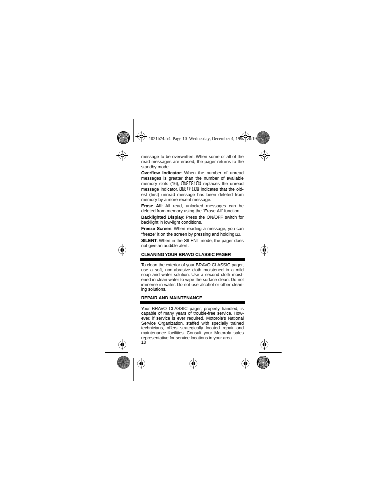message to be overwritten. When some or all of the read messages are erased, the pager returns to the standby mode.

**Overflow Indicator**: When the number of unread messages is greater than the number of available memory slots (16), CUETFLOW replaces the unread message indicator. **CLIETFLOW** indicates that the oldest (first) unread message has been deleted from memory by a more recent message.

**Erase All**: All read, unlocked messages can be deleted from memory using the "Erase All" function.

**Backlighted Display**: Press the ON/OFF switch for backlight in low-light conditions.

**Freeze Screen**: When reading a message, you can "freeze" it on the screen by pressing and holding  $\mathbf{E}$ .

**SILENT**: When in the SILENT mode, the pager does not give an audible alert.

# **CLEANING YOUR BRAVO CLASSIC PAGER**

To clean the exterior of your BRAVO CLASSIC pager, use a soft, non-abrasive cloth moistened in a mild soap and water solution. Use a second cloth moistened in clean water to wipe the surface clean. Do not immerse in water. Do not use alcohol or other cleaning solutions.

## **REPAIR AND MAINTENANCE**

10 Your BRAVO CLASSIC pager, properly handled, is capable of many years of trouble-free service. However, if service is ever required, Motorola's National Service Organization, staffed with specially trained technicians, offers strategically located repair and maintenance facilities. Consult your Motorola sales representative for service locations in your area.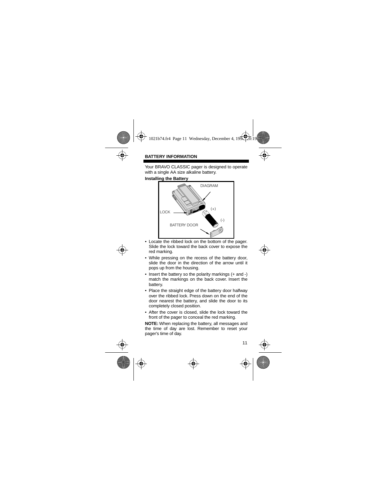Your BRAVO CLASSIC pager is designed to operate with a single AA size alkaline battery.

**Installing the Battery**



- Locate the ribbed lock on the bottom of the pager. Slide the lock toward the back cover to expose the red marking.
- While pressing on the recess of the battery door, slide the door in the direction of the arrow until it pops up from the housing.
- Insert the battery so the polarity markings (+ and -) match the markings on the back cover. Insert the battery.
- Place the straight edge of the battery door halfway over the ribbed lock. Press down on the end of the door nearest the battery, and slide the door to its completely closed position.
- After the cover is closed, slide the lock toward the front of the pager to conceal the red marking.

**NOTE:** When replacing the battery, all messages and the time of day are lost. Remember to reset your pager's time of day.